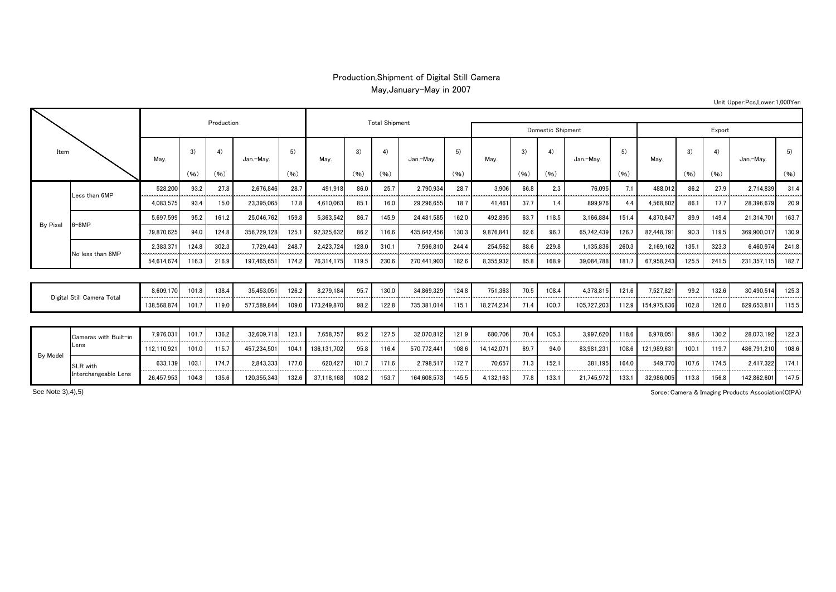## Production,Shipment of Digital Still Camera May,January-May in 2007

| Item                       |                       |             |          | Production |             |       |             | <b>Total Shipment</b> |       |             |       |            |                   |       |             |       |             |       |       |             |       |
|----------------------------|-----------------------|-------------|----------|------------|-------------|-------|-------------|-----------------------|-------|-------------|-------|------------|-------------------|-------|-------------|-------|-------------|-------|-------|-------------|-------|
|                            |                       |             |          |            |             |       |             |                       |       |             |       |            | Domestic Shipment |       | Export      |       |             |       |       |             |       |
|                            |                       | May.        | 3)<br>4) |            | Jan.-May.   | 5)    | May.        | 3)                    | 4)    | Jan.-May.   | 5)    | May.       | 3)                | 4)    | Jan.-Mav.   | 5)    | May.        | 3)    | 4)    | Jan.-May.   | 5)    |
|                            |                       |             | (96)     | (96)       |             | (96)  |             | (96)                  | (96)  |             | (96)  |            | (96)              | (96)  |             | (96)  |             | (96)  | (96)  |             | (96)  |
| By Pixel                   | Less than 6MP         | 528,200     | 93.2     | 27.8       | 2,676,846   | 28.7  | 491,918     | 86.0                  | 25.7  | 2,790,934   | 28.7  | 3,906      | 66.8              | 2.3   | 76,095      | 7.1   | 488,012     | 86.2  | 27.9  | 2,714,839   | 31.4  |
|                            |                       | 4,083,575   | 93.4     | 15.0       | 23,395,065  | 17.8  | 4,610,063   | 85.1                  | 16.0  | 29,296,655  | 18.7  | 41.461     | 37.7              | 1.4   | 899,976     | 4.4   | 4,568,602   | 86.1  | 17.7  | 28,396,67   | 20.9  |
|                            | $6 - 8MP$             | 5,697,599   | 95.2     | 161.2      | 25,046,762  | 159.8 | 5,363,542   | 86.7                  | 145.9 | 24,481,585  | 162.0 | 492,895    | 63.7              | 118.5 | 3,166,884   | 151.4 | 4,870,647   | 89.9  | 149.4 | 21,314,701  | 163.7 |
|                            |                       | 79,870,625  | 94.0     | 124.8      | 356,729,128 | 125.  | 92,325,632  | 86.2                  | 116.6 | 435,642,456 | 130.3 | 9,876,84   | 62.6              | 96.7  | 65,742,439  | 126.7 | 82,448,791  | 90.3  | 119.5 | 369,900,01  | 130.9 |
|                            | No less than 8MP      | 2,383,37    | 124.8    | 302.3      | 7,729,443   | 248.7 | 2,423,724   | 128.0                 | 310.7 | 7,596,810   | 244.4 | 254,562    | 88.6              | 229.8 | 1,135,836   | 260.3 | 2,169,162   | 135.1 | 323.3 | 6.460.97    | 241.8 |
|                            |                       | 54,614,674  | 116.3    | 216.9      | 197,465,651 | 174.2 | 76,314,175  | 119.5                 | 230.6 | 270,441,903 | 182.6 | 8,355,932  | 85.8              | 168.9 | 39,084,788  | 181.7 | 67,958,243  | 125.5 | 241.5 | 231,357,11  | 182.7 |
|                            |                       |             |          |            |             |       |             |                       |       |             |       |            |                   |       |             |       |             |       |       |             |       |
| Digital Still Camera Total |                       | 8,609,170   | 101.8    | 138.4      | 35,453,051  | 126.2 | 8,279,184   | 95.7                  | 130.0 | 34,869,329  | 124.8 | 751,363    | 70.5              | 108.4 | 4,378,815   | 121.6 | 7,527,821   | 99.2  | 132.6 | 30,490,51   | 125.3 |
|                            |                       | 138,568,874 | 101.7    | 119.0      | 577,589,844 | 109.0 | 173,249,870 | 98.2                  | 122.8 | 735,381,014 | 115.1 | 18,274,234 | 71.4              | 100.7 | 105,727,203 | 112.9 | 154,975,636 | 102.8 | 126.0 | 629,653,81  | 115.5 |
|                            |                       |             |          |            |             |       |             |                       |       |             |       |            |                   |       |             |       |             |       |       |             |       |
| By Model                   | Cameras with Built-in | 7,976,031   | 101.7    | 136.2      | 32,609,718  | 123.  | 7,658,757   | 95.2                  | 127.5 | 32,070,812  | 121.9 | 680,706    | 70.4              | 105.3 | 3,997,620   | 118.6 | 6,978,051   | 98.6  | 130.2 | 28,073,192  | 122.3 |
|                            | Lens                  | 112,110,92  | 101.0    | 115.7      | 457,234,501 | 104.1 | 136,131,702 | 95.8                  | 116.4 | 570,772,441 | 108.6 | 14,142,07  | 69.7              | 94.0  | 83,981,231  | 108.6 | 121,989,631 | 100.1 | 119.7 | 486,791,210 | 108.6 |
|                            | <b>SLR</b> with       | 633,139     | 103.1    | 174.7      | 2,843,333   | 177.0 | 620,427     | 101.7                 | 171.6 | 2,798,517   | 172.7 | 70.657     | 71.3              | 152.1 | 381,195     | 164.0 | 549,77      | 107.6 | 174.5 | 2,417,322   | 174.1 |
|                            | Interchangeable Lens  | 26.457.953  | 104.8    | 135.6      | 120.355.343 | 132.6 | 37.118.168  | 108.2                 | 153.7 | 164.608.573 | 145.5 | 4.132.163  | 77.8              | 133.1 | 21.745.972  | 133.1 | 32.986.005  | 113.8 | 156.8 | 142.862.601 | 147.5 |

Sorce:Camera & Imaging Products Association(CIPA)

See Note 3),4),5)

## Unit Upper:Pcs,Lower:1,000Yen